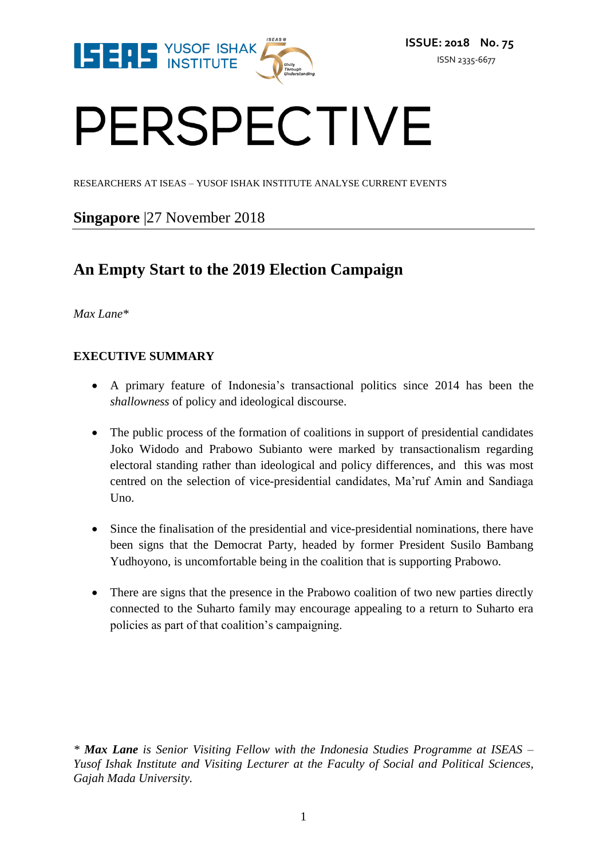

# PERSPECTIVE

RESEARCHERS AT ISEAS – YUSOF ISHAK INSTITUTE ANALYSE CURRENT EVENTS

### **Singapore** |27 November 2018

## **An Empty Start to the 2019 Election Campaign**

#### *Max Lane\**

#### **EXECUTIVE SUMMARY**

- A primary feature of Indonesia's transactional politics since 2014 has been the *shallowness* of policy and ideological discourse.
- The public process of the formation of coalitions in support of presidential candidates Joko Widodo and Prabowo Subianto were marked by transactionalism regarding electoral standing rather than ideological and policy differences, and this was most centred on the selection of vice-presidential candidates, Ma'ruf Amin and Sandiaga Uno.
- Since the finalisation of the presidential and vice-presidential nominations, there have been signs that the Democrat Party, headed by former President Susilo Bambang Yudhoyono, is uncomfortable being in the coalition that is supporting Prabowo.
- There are signs that the presence in the Prabowo coalition of two new parties directly connected to the Suharto family may encourage appealing to a return to Suharto era policies as part of that coalition's campaigning.

*\* Max Lane is Senior Visiting Fellow with the Indonesia Studies Programme at ISEAS – Yusof Ishak Institute and Visiting Lecturer at the Faculty of Social and Political Sciences, Gajah Mada University.*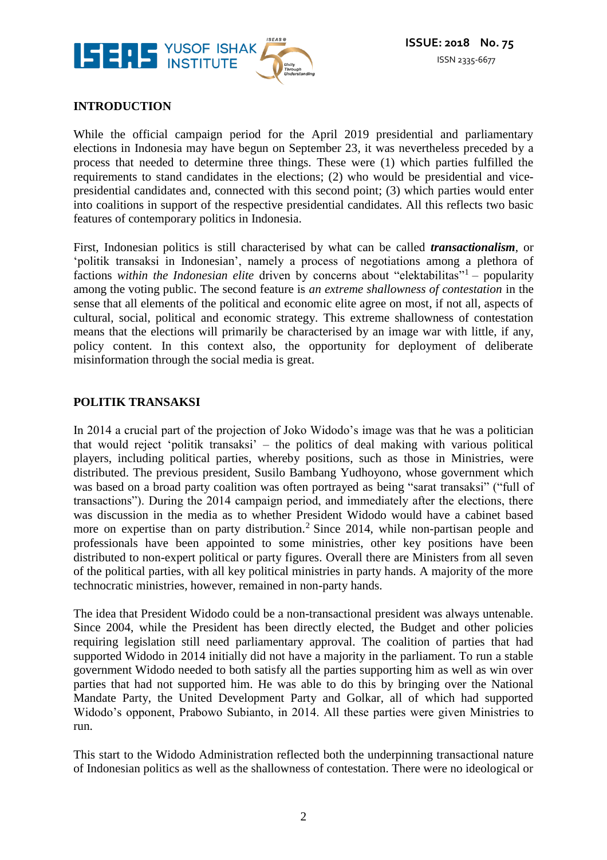

#### **INTRODUCTION**

While the official campaign period for the April 2019 presidential and parliamentary elections in Indonesia may have begun on September 23, it was nevertheless preceded by a process that needed to determine three things. These were (1) which parties fulfilled the requirements to stand candidates in the elections; (2) who would be presidential and vicepresidential candidates and, connected with this second point; (3) which parties would enter into coalitions in support of the respective presidential candidates. All this reflects two basic features of contemporary politics in Indonesia.

First, Indonesian politics is still characterised by what can be called *transactionalism*, or 'politik transaksi in Indonesian', namely a process of negotiations among a plethora of factions within the Indonesian elite driven by concerns about "elektabilitas"<sup>1</sup> – popularity among the voting public. The second feature is *an extreme shallowness of contestation* in the sense that all elements of the political and economic elite agree on most, if not all, aspects of cultural, social, political and economic strategy. This extreme shallowness of contestation means that the elections will primarily be characterised by an image war with little, if any, policy content. In this context also, the opportunity for deployment of deliberate misinformation through the social media is great.

#### **POLITIK TRANSAKSI**

In 2014 a crucial part of the projection of Joko Widodo's image was that he was a politician that would reject 'politik transaksi' – the politics of deal making with various political players, including political parties, whereby positions, such as those in Ministries, were distributed. The previous president, Susilo Bambang Yudhoyono, whose government which was based on a broad party coalition was often portrayed as being "sarat transaksi" ("full of transactions"). During the 2014 campaign period, and immediately after the elections, there was discussion in the media as to whether President Widodo would have a cabinet based more on expertise than on party distribution.<sup>2</sup> Since 2014, while non-partisan people and professionals have been appointed to some ministries, other key positions have been distributed to non-expert political or party figures. Overall there are Ministers from all seven of the political parties, with all key political ministries in party hands. A majority of the more technocratic ministries, however, remained in non-party hands.

The idea that President Widodo could be a non-transactional president was always untenable. Since 2004, while the President has been directly elected, the Budget and other policies requiring legislation still need parliamentary approval. The coalition of parties that had supported Widodo in 2014 initially did not have a majority in the parliament. To run a stable government Widodo needed to both satisfy all the parties supporting him as well as win over parties that had not supported him. He was able to do this by bringing over the National Mandate Party, the United Development Party and Golkar, all of which had supported Widodo's opponent, Prabowo Subianto, in 2014. All these parties were given Ministries to run.

This start to the Widodo Administration reflected both the underpinning transactional nature of Indonesian politics as well as the shallowness of contestation. There were no ideological or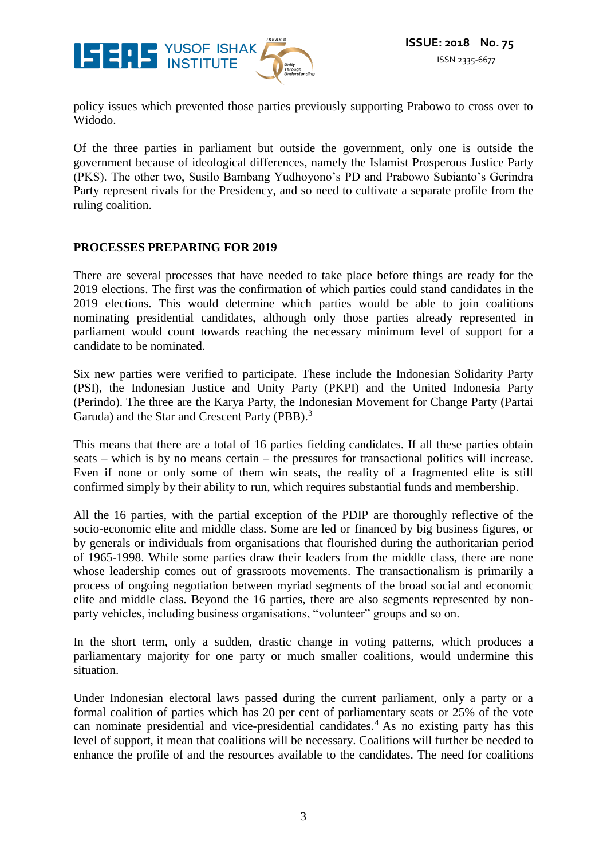

policy issues which prevented those parties previously supporting Prabowo to cross over to Widodo.

Of the three parties in parliament but outside the government, only one is outside the government because of ideological differences, namely the Islamist Prosperous Justice Party (PKS). The other two, Susilo Bambang Yudhoyono's PD and Prabowo Subianto's Gerindra Party represent rivals for the Presidency, and so need to cultivate a separate profile from the ruling coalition.

#### **PROCESSES PREPARING FOR 2019**

There are several processes that have needed to take place before things are ready for the 2019 elections. The first was the confirmation of which parties could stand candidates in the 2019 elections. This would determine which parties would be able to join coalitions nominating presidential candidates, although only those parties already represented in parliament would count towards reaching the necessary minimum level of support for a candidate to be nominated.

Six new parties were verified to participate. These include the Indonesian Solidarity Party (PSI), the Indonesian Justice and Unity Party (PKPI) and the United Indonesia Party (Perindo). The three are the Karya Party, the Indonesian Movement for Change Party (Partai Garuda) and the Star and Crescent Party (PBB).<sup>3</sup>

This means that there are a total of 16 parties fielding candidates. If all these parties obtain seats – which is by no means certain – the pressures for transactional politics will increase. Even if none or only some of them win seats, the reality of a fragmented elite is still confirmed simply by their ability to run, which requires substantial funds and membership.

All the 16 parties, with the partial exception of the PDIP are thoroughly reflective of the socio-economic elite and middle class. Some are led or financed by big business figures, or by generals or individuals from organisations that flourished during the authoritarian period of 1965-1998. While some parties draw their leaders from the middle class, there are none whose leadership comes out of grassroots movements. The transactionalism is primarily a process of ongoing negotiation between myriad segments of the broad social and economic elite and middle class. Beyond the 16 parties, there are also segments represented by nonparty vehicles, including business organisations, "volunteer" groups and so on.

In the short term, only a sudden, drastic change in voting patterns, which produces a parliamentary majority for one party or much smaller coalitions, would undermine this situation.

Under Indonesian electoral laws passed during the current parliament, only a party or a formal coalition of parties which has 20 per cent of parliamentary seats or 25% of the vote can nominate presidential and vice-presidential candidates. <sup>4</sup> As no existing party has this level of support, it mean that coalitions will be necessary. Coalitions will further be needed to enhance the profile of and the resources available to the candidates. The need for coalitions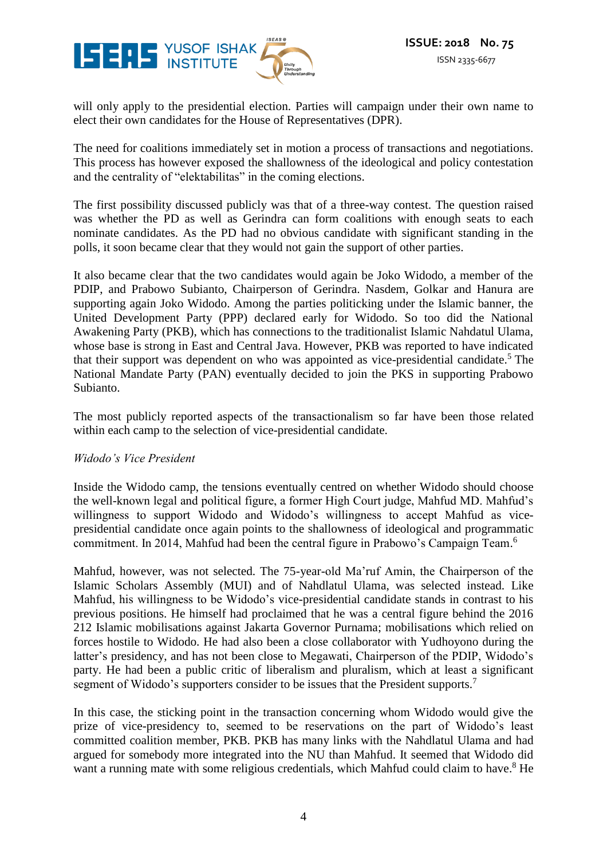

will only apply to the presidential election. Parties will campaign under their own name to elect their own candidates for the House of Representatives (DPR).

The need for coalitions immediately set in motion a process of transactions and negotiations. This process has however exposed the shallowness of the ideological and policy contestation and the centrality of "elektabilitas" in the coming elections.

The first possibility discussed publicly was that of a three-way contest. The question raised was whether the PD as well as Gerindra can form coalitions with enough seats to each nominate candidates. As the PD had no obvious candidate with significant standing in the polls, it soon became clear that they would not gain the support of other parties.

It also became clear that the two candidates would again be Joko Widodo, a member of the PDIP, and Prabowo Subianto, Chairperson of Gerindra. Nasdem, Golkar and Hanura are supporting again Joko Widodo. Among the parties politicking under the Islamic banner, the United Development Party (PPP) declared early for Widodo. So too did the National Awakening Party (PKB), which has connections to the traditionalist Islamic Nahdatul Ulama, whose base is strong in East and Central Java. However, PKB was reported to have indicated that their support was dependent on who was appointed as vice-presidential candidate.<sup>5</sup> The National Mandate Party (PAN) eventually decided to join the PKS in supporting Prabowo Subianto.

The most publicly reported aspects of the transactionalism so far have been those related within each camp to the selection of vice-presidential candidate.

#### *Widodo's Vice President*

Inside the Widodo camp, the tensions eventually centred on whether Widodo should choose the well-known legal and political figure, a former High Court judge, Mahfud MD. Mahfud's willingness to support Widodo and Widodo's willingness to accept Mahfud as vicepresidential candidate once again points to the shallowness of ideological and programmatic commitment. In 2014, Mahfud had been the central figure in Prabowo's Campaign Team. 6

Mahfud, however, was not selected. The 75-year-old Ma'ruf Amin, the Chairperson of the Islamic Scholars Assembly (MUI) and of Nahdlatul Ulama, was selected instead. Like Mahfud, his willingness to be Widodo's vice-presidential candidate stands in contrast to his previous positions. He himself had proclaimed that he was a central figure behind the 2016 212 Islamic mobilisations against Jakarta Governor Purnama; mobilisations which relied on forces hostile to Widodo. He had also been a close collaborator with Yudhoyono during the latter's presidency, and has not been close to Megawati, Chairperson of the PDIP, Widodo's party. He had been a public critic of liberalism and pluralism, which at least a significant segment of Widodo's supporters consider to be issues that the President supports.<sup>7</sup>

In this case, the sticking point in the transaction concerning whom Widodo would give the prize of vice-presidency to, seemed to be reservations on the part of Widodo's least committed coalition member, PKB. PKB has many links with the Nahdlatul Ulama and had argued for somebody more integrated into the NU than Mahfud. It seemed that Widodo did want a running mate with some religious credentials, which Mahfud could claim to have.<sup>8</sup> He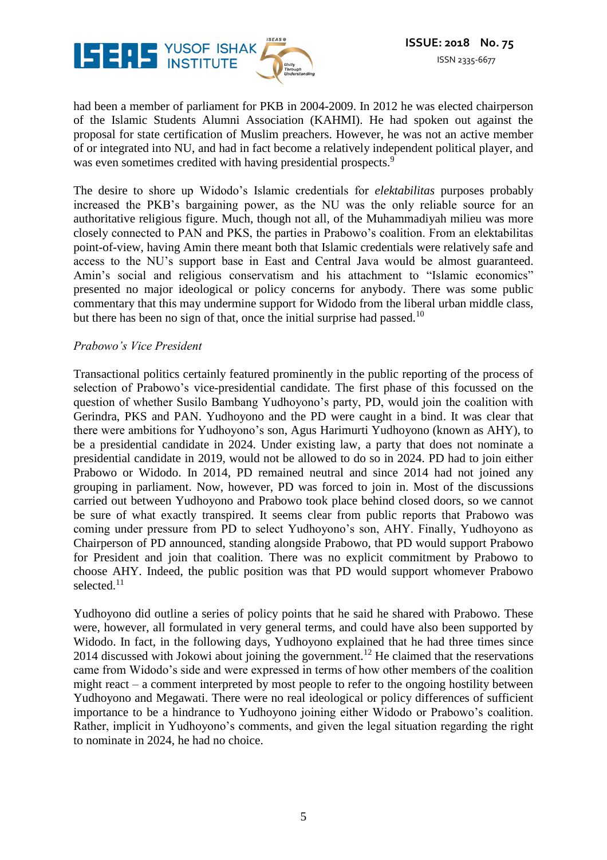

had been a member of parliament for PKB in 2004-2009. In 2012 he was elected chairperson of the Islamic Students Alumni Association (KAHMI). He had spoken out against the proposal for state certification of Muslim preachers. However, he was not an active member of or integrated into NU, and had in fact become a relatively independent political player, and was even sometimes credited with having presidential prospects.<sup>9</sup>

The desire to shore up Widodo's Islamic credentials for *elektabilitas* purposes probably increased the PKB's bargaining power, as the NU was the only reliable source for an authoritative religious figure. Much, though not all, of the Muhammadiyah milieu was more closely connected to PAN and PKS, the parties in Prabowo's coalition. From an elektabilitas point-of-view, having Amin there meant both that Islamic credentials were relatively safe and access to the NU's support base in East and Central Java would be almost guaranteed. Amin's social and religious conservatism and his attachment to "Islamic economics" presented no major ideological or policy concerns for anybody. There was some public commentary that this may undermine support for Widodo from the liberal urban middle class, but there has been no sign of that, once the initial surprise had passed.<sup>10</sup>

#### *Prabowo's Vice President*

Transactional politics certainly featured prominently in the public reporting of the process of selection of Prabowo's vice-presidential candidate. The first phase of this focussed on the question of whether Susilo Bambang Yudhoyono's party, PD, would join the coalition with Gerindra, PKS and PAN. Yudhoyono and the PD were caught in a bind. It was clear that there were ambitions for Yudhoyono's son, Agus Harimurti Yudhoyono (known as AHY), to be a presidential candidate in 2024. Under existing law, a party that does not nominate a presidential candidate in 2019, would not be allowed to do so in 2024. PD had to join either Prabowo or Widodo. In 2014, PD remained neutral and since 2014 had not joined any grouping in parliament. Now, however, PD was forced to join in. Most of the discussions carried out between Yudhoyono and Prabowo took place behind closed doors, so we cannot be sure of what exactly transpired. It seems clear from public reports that Prabowo was coming under pressure from PD to select Yudhoyono's son, AHY. Finally, Yudhoyono as Chairperson of PD announced, standing alongside Prabowo, that PD would support Prabowo for President and join that coalition. There was no explicit commitment by Prabowo to choose AHY. Indeed, the public position was that PD would support whomever Prabowo selected.<sup>11</sup>

Yudhoyono did outline a series of policy points that he said he shared with Prabowo. These were, however, all formulated in very general terms, and could have also been supported by Widodo. In fact, in the following days, Yudhoyono explained that he had three times since 2014 discussed with Jokowi about joining the government.<sup>12</sup> He claimed that the reservations came from Widodo's side and were expressed in terms of how other members of the coalition might react – a comment interpreted by most people to refer to the ongoing hostility between Yudhoyono and Megawati. There were no real ideological or policy differences of sufficient importance to be a hindrance to Yudhoyono joining either Widodo or Prabowo's coalition. Rather, implicit in Yudhoyono's comments, and given the legal situation regarding the right to nominate in 2024, he had no choice.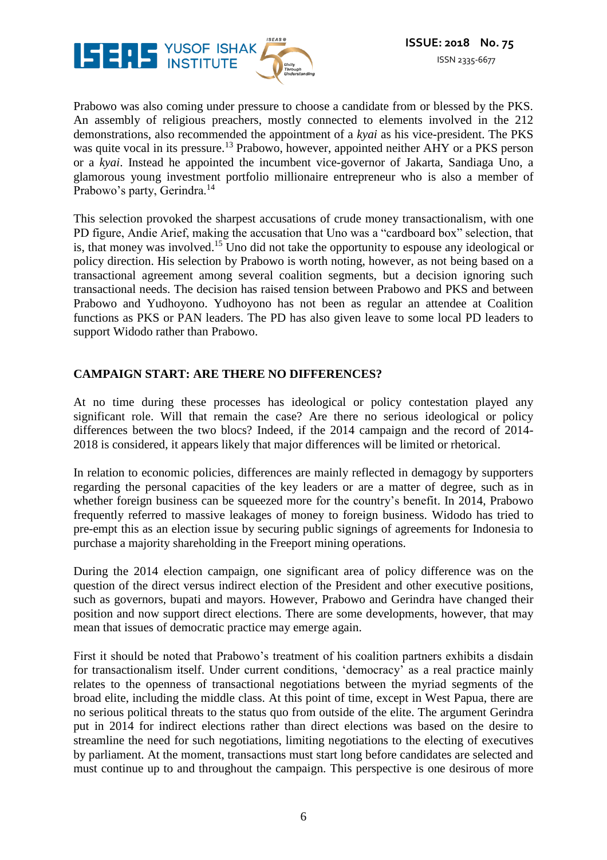

Prabowo was also coming under pressure to choose a candidate from or blessed by the PKS. An assembly of religious preachers, mostly connected to elements involved in the 212 demonstrations, also recommended the appointment of a *kyai* as his vice-president. The PKS was quite vocal in its pressure.<sup>13</sup> Prabowo, however, appointed neither AHY or a PKS person or a *kyai*. Instead he appointed the incumbent vice-governor of Jakarta, Sandiaga Uno, a glamorous young investment portfolio millionaire entrepreneur who is also a member of Prabowo's party, Gerindra.<sup>14</sup>

This selection provoked the sharpest accusations of crude money transactionalism, with one PD figure, Andie Arief, making the accusation that Uno was a "cardboard box" selection, that is, that money was involved. <sup>15</sup> Uno did not take the opportunity to espouse any ideological or policy direction. His selection by Prabowo is worth noting, however, as not being based on a transactional agreement among several coalition segments, but a decision ignoring such transactional needs. The decision has raised tension between Prabowo and PKS and between Prabowo and Yudhoyono. Yudhoyono has not been as regular an attendee at Coalition functions as PKS or PAN leaders. The PD has also given leave to some local PD leaders to support Widodo rather than Prabowo.

#### **CAMPAIGN START: ARE THERE NO DIFFERENCES?**

At no time during these processes has ideological or policy contestation played any significant role. Will that remain the case? Are there no serious ideological or policy differences between the two blocs? Indeed, if the 2014 campaign and the record of 2014- 2018 is considered, it appears likely that major differences will be limited or rhetorical.

In relation to economic policies, differences are mainly reflected in demagogy by supporters regarding the personal capacities of the key leaders or are a matter of degree, such as in whether foreign business can be squeezed more for the country's benefit. In 2014, Prabowo frequently referred to massive leakages of money to foreign business. Widodo has tried to pre-empt this as an election issue by securing public signings of agreements for Indonesia to purchase a majority shareholding in the Freeport mining operations.

During the 2014 election campaign, one significant area of policy difference was on the question of the direct versus indirect election of the President and other executive positions, such as governors, bupati and mayors. However, Prabowo and Gerindra have changed their position and now support direct elections. There are some developments, however, that may mean that issues of democratic practice may emerge again.

First it should be noted that Prabowo's treatment of his coalition partners exhibits a disdain for transactionalism itself. Under current conditions, 'democracy' as a real practice mainly relates to the openness of transactional negotiations between the myriad segments of the broad elite, including the middle class. At this point of time, except in West Papua, there are no serious political threats to the status quo from outside of the elite. The argument Gerindra put in 2014 for indirect elections rather than direct elections was based on the desire to streamline the need for such negotiations, limiting negotiations to the electing of executives by parliament. At the moment, transactions must start long before candidates are selected and must continue up to and throughout the campaign. This perspective is one desirous of more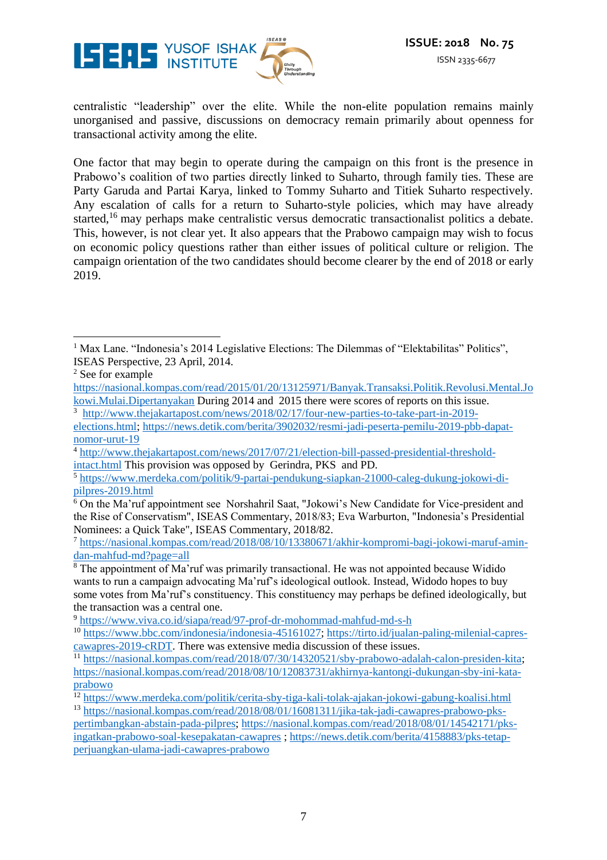

centralistic "leadership" over the elite. While the non-elite population remains mainly unorganised and passive, discussions on democracy remain primarily about openness for transactional activity among the elite.

One factor that may begin to operate during the campaign on this front is the presence in Prabowo's coalition of two parties directly linked to Suharto, through family ties. These are Party Garuda and Partai Karya, linked to Tommy Suharto and Titiek Suharto respectively. Any escalation of calls for a return to Suharto-style policies, which may have already started,<sup>16</sup> may perhaps make centralistic versus democratic transactionalist politics a debate. This, however, is not clear yet. It also appears that the Prabowo campaign may wish to focus on economic policy questions rather than either issues of political culture or religion. The campaign orientation of the two candidates should become clearer by the end of 2018 or early 2019.

 $\overline{a}$ <sup>1</sup> Max Lane. "Indonesia's 2014 Legislative Elections: The Dilemmas of "Elektabilitas" Politics", ISEAS Perspective, 23 April, 2014.

<sup>2</sup> See for example

[https://nasional.kompas.com/read/2015/01/20/13125971/Banyak.Transaksi.Politik.Revolusi.Mental.Jo](https://nasional.kompas.com/read/2015/01/20/13125971/Banyak.Transaksi.Politik.Revolusi.Mental.Jokowi.Mulai.Dipertanyakan)  $\frac{\text{kowi.Mulai.Dipertanyakan}}{3}$  $\frac{\text{kowi.Mulai.Dipertanyakan}}{3}$  $\frac{\text{kowi.Mulai.Dipertanyakan}}{3}$  During 2014 and 2015 there were scores of reports on this issue.

<sup>3</sup> [http://www.thejakartapost.com/news/2018/02/17/four-new-parties-to-take-part-in-2019-](http://www.thejakartapost.com/news/2018/02/17/four-new-parties-to-take-part-in-2019-elections.html)

[elections.html;](http://www.thejakartapost.com/news/2018/02/17/four-new-parties-to-take-part-in-2019-elections.html) [https://news.detik.com/berita/3902032/resmi-jadi-peserta-pemilu-2019-pbb-dapat](https://news.detik.com/berita/3902032/resmi-jadi-peserta-pemilu-2019-pbb-dapat-nomor-urut-19)[nomor-urut-19](https://news.detik.com/berita/3902032/resmi-jadi-peserta-pemilu-2019-pbb-dapat-nomor-urut-19)

<sup>4</sup> [http://www.thejakartapost.com/news/2017/07/21/election-bill-passed-presidential-threshold](http://www.thejakartapost.com/news/2017/07/21/election-bill-passed-presidential-threshold-intact.html)[intact.html](http://www.thejakartapost.com/news/2017/07/21/election-bill-passed-presidential-threshold-intact.html) This provision was opposed by Gerindra, PKS and PD.

<sup>5</sup> [https://www.merdeka.com/politik/9-partai-pendukung-siapkan-21000-caleg-dukung-jokowi-di](https://www.merdeka.com/politik/9-partai-pendukung-siapkan-21000-caleg-dukung-jokowi-di-pilpres-2019.html)[pilpres-2019.html](https://www.merdeka.com/politik/9-partai-pendukung-siapkan-21000-caleg-dukung-jokowi-di-pilpres-2019.html)

 $6$  On the Ma'ruf appointment see Norshahril Saat, "Jokowi's New Candidate for Vice-president and the Rise of Conservatism", ISEAS Commentary, 2018/83; Eva Warburton, "Indonesia's Presidential Nominees: a Quick Take", ISEAS Commentary, 2018/82.

<sup>7</sup> [https://nasional.kompas.com/read/2018/08/10/13380671/akhir-kompromi-bagi-jokowi-maruf-amin](https://nasional.kompas.com/read/2018/08/10/13380671/akhir-kompromi-bagi-jokowi-maruf-amin-dan-mahfud-md?page=all)[dan-mahfud-md?page=all](https://nasional.kompas.com/read/2018/08/10/13380671/akhir-kompromi-bagi-jokowi-maruf-amin-dan-mahfud-md?page=all)

<sup>&</sup>lt;sup>8</sup> The appointment of Ma'ruf was primarily transactional. He was not appointed because Widido wants to run a campaign advocating Ma'ruf's ideological outlook. Instead, Widodo hopes to buy some votes from Ma'ruf's constituency. This constituency may perhaps be defined ideologically, but the transaction was a central one.

<sup>9</sup> <https://www.viva.co.id/siapa/read/97-prof-dr-mohommad-mahfud-md-s-h>

<sup>10</sup> [https://www.bbc.com/indonesia/indonesia-45161027;](https://www.bbc.com/indonesia/indonesia-45161027) [https://tirto.id/jualan-paling-milenial-capres](https://tirto.id/jualan-paling-milenial-capres-cawapres-2019-cRDT)[cawapres-2019-cRDT.](https://tirto.id/jualan-paling-milenial-capres-cawapres-2019-cRDT) There was extensive media discussion of these issues.

<sup>&</sup>lt;sup>11</sup> [https://nasional.kompas.com/read/2018/07/30/14320521/sby-prabowo-adalah-calon-presiden-kita;](https://nasional.kompas.com/read/2018/07/30/14320521/sby-prabowo-adalah-calon-presiden-kita) [https://nasional.kompas.com/read/2018/08/10/12083731/akhirnya-kantongi-dukungan-sby-ini-kata](https://nasional.kompas.com/read/2018/08/10/12083731/akhirnya-kantongi-dukungan-sby-ini-kata-prabowo)[prabowo](https://nasional.kompas.com/read/2018/08/10/12083731/akhirnya-kantongi-dukungan-sby-ini-kata-prabowo)

<sup>12</sup> <https://www.merdeka.com/politik/cerita-sby-tiga-kali-tolak-ajakan-jokowi-gabung-koalisi.html>

<sup>13</sup> [https://nasional.kompas.com/read/2018/08/01/16081311/jika-tak-jadi-cawapres-prabowo-pks](https://nasional.kompas.com/read/2018/08/01/16081311/jika-tak-jadi-cawapres-prabowo-pks-pertimbangkan-abstain-pada-pilpres)[pertimbangkan-abstain-pada-pilpres;](https://nasional.kompas.com/read/2018/08/01/16081311/jika-tak-jadi-cawapres-prabowo-pks-pertimbangkan-abstain-pada-pilpres) [https://nasional.kompas.com/read/2018/08/01/14542171/pks](https://nasional.kompas.com/read/2018/08/01/14542171/pks-ingatkan-prabowo-soal-kesepakatan-cawapres)[ingatkan-prabowo-soal-kesepakatan-cawapres](https://nasional.kompas.com/read/2018/08/01/14542171/pks-ingatkan-prabowo-soal-kesepakatan-cawapres) ; [https://news.detik.com/berita/4158883/pks-tetap](https://news.detik.com/berita/4158883/pks-tetap-perjuangkan-ulama-jadi-cawapres-prabowo)[perjuangkan-ulama-jadi-cawapres-prabowo](https://news.detik.com/berita/4158883/pks-tetap-perjuangkan-ulama-jadi-cawapres-prabowo)